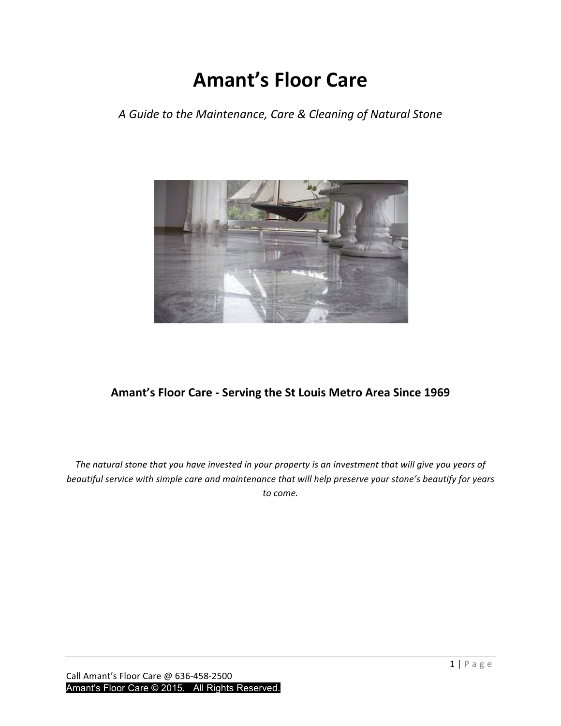# **Amant's Floor Care**

*A Guide to the Maintenance, Care & Cleaning of Natural Stone*



## Amant's Floor Care - Serving the St Louis Metro Area Since 1969

The natural stone that you have invested in your property is an investment that will give you years of *beautiful service with simple care and maintenance that will help preserve your stone's beautify for years to come.*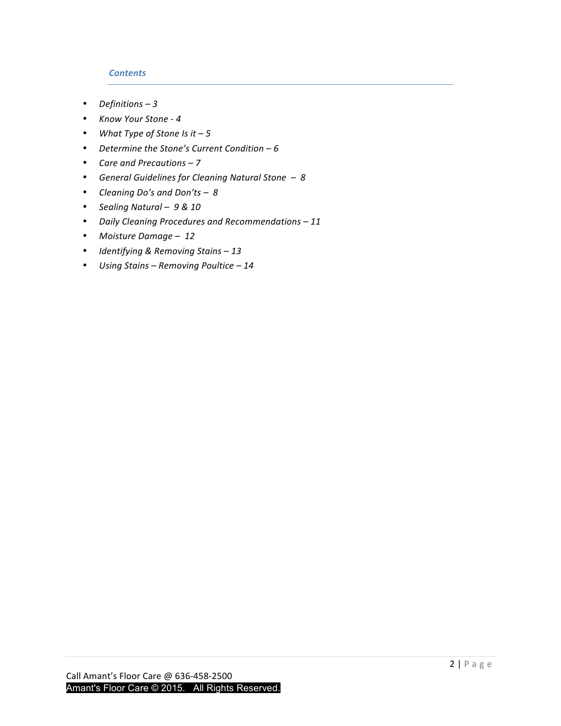## *Contents*

- Definitions 3
- *Know Your Stone - 4*
- What Type of Stone Is it 5
- *Determine the Stone's Current Condition – 6*
- Care and Precautions 7
- General Guidelines for Cleaning Natural Stone 8
- *Cleaning Do's and Don'ts – 8*
- *Sealing Natural – 9 & 10*
- *Daily Cleaning Procedures and Recommendations – 11*
- *Moisture Damage – 12*
- *Identifying & Removing Stains – 13*
- *Using Stains – Removing Poultice – 14*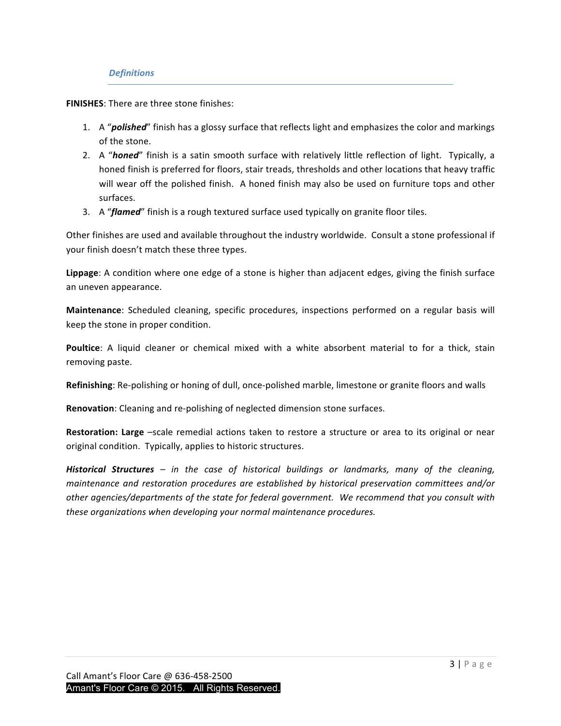## *Definitions*

**FINISHES:** There are three stone finishes:

- 1. A "**polished**" finish has a glossy surface that reflects light and emphasizes the color and markings of the stone.
- 2. A "honed" finish is a satin smooth surface with relatively little reflection of light. Typically, a honed finish is preferred for floors, stair treads, thresholds and other locations that heavy traffic will wear off the polished finish. A honed finish may also be used on furniture tops and other surfaces.
- 3. A "*flamed*" finish is a rough textured surface used typically on granite floor tiles.

Other finishes are used and available throughout the industry worldwide. Consult a stone professional if your finish doesn't match these three types.

**Lippage**: A condition where one edge of a stone is higher than adjacent edges, giving the finish surface an uneven appearance.

**Maintenance**: Scheduled cleaning, specific procedures, inspections performed on a regular basis will keep the stone in proper condition.

**Poultice**: A liquid cleaner or chemical mixed with a white absorbent material to for a thick, stain removing paste.

**Refinishing**: Re-polishing or honing of dull, once-polished marble, limestone or granite floors and walls

**Renovation**: Cleaning and re-polishing of neglected dimension stone surfaces.

**Restoration: Large** -scale remedial actions taken to restore a structure or area to its original or near original condition. Typically, applies to historic structures.

**Historical Structures** – in the case of historical buildings or landmarks, many of the cleaning, *maintenance and restoration procedures are established by historical preservation committees and/or* other agencies/departments of the state for federal government. We recommend that you consult with *these organizations when developing your normal maintenance procedures.*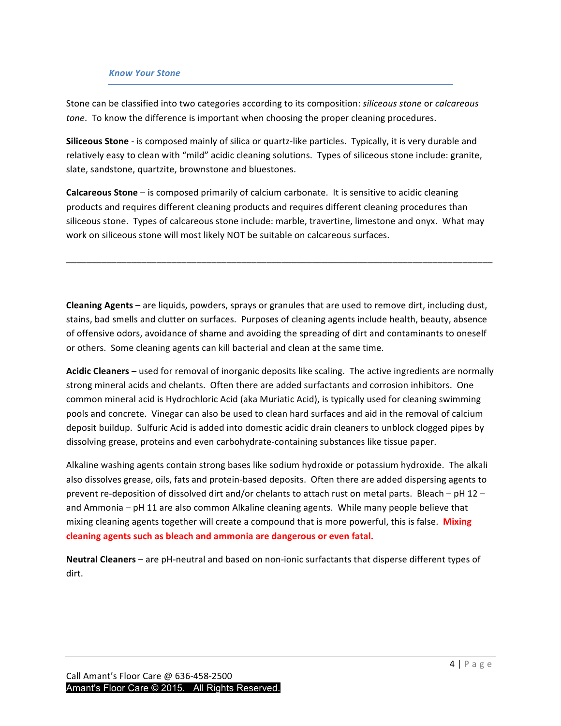#### *Know Your Stone*

Stone can be classified into two categories according to its composition: *siliceous stone* or *calcareous tone*. To know the difference is important when choosing the proper cleaning procedures.

**Siliceous Stone** - is composed mainly of silica or quartz-like particles. Typically, it is very durable and relatively easy to clean with "mild" acidic cleaning solutions. Types of siliceous stone include: granite, slate, sandstone, quartzite, brownstone and bluestones.

**Calcareous Stone** – is composed primarily of calcium carbonate. It is sensitive to acidic cleaning products and requires different cleaning products and requires different cleaning procedures than siliceous stone. Types of calcareous stone include: marble, travertine, limestone and onyx. What may work on siliceous stone will most likely NOT be suitable on calcareous surfaces.

\_\_\_\_\_\_\_\_\_\_\_\_\_\_\_\_\_\_\_\_\_\_\_\_\_\_\_\_\_\_\_\_\_\_\_\_\_\_\_\_\_\_\_\_\_\_\_\_\_\_\_\_\_\_\_\_\_\_\_\_\_\_\_\_\_\_\_\_\_\_\_\_\_\_\_\_\_\_\_\_\_\_\_\_\_

**Cleaning Agents** – are liquids, powders, sprays or granules that are used to remove dirt, including dust, stains, bad smells and clutter on surfaces. Purposes of cleaning agents include health, beauty, absence of offensive odors, avoidance of shame and avoiding the spreading of dirt and contaminants to oneself or others. Some cleaning agents can kill bacterial and clean at the same time.

**Acidic Cleaners** – used for removal of inorganic deposits like scaling. The active ingredients are normally strong mineral acids and chelants. Often there are added surfactants and corrosion inhibitors. One common mineral acid is Hydrochloric Acid (aka Muriatic Acid), is typically used for cleaning swimming pools and concrete. Vinegar can also be used to clean hard surfaces and aid in the removal of calcium deposit buildup. Sulfuric Acid is added into domestic acidic drain cleaners to unblock clogged pipes by dissolving grease, proteins and even carbohydrate-containing substances like tissue paper.

Alkaline washing agents contain strong bases like sodium hydroxide or potassium hydroxide. The alkali also dissolves grease, oils, fats and protein-based deposits. Often there are added dispersing agents to prevent re-deposition of dissolved dirt and/or chelants to attach rust on metal parts. Bleach – pH 12 – and Ammonia – pH 11 are also common Alkaline cleaning agents. While many people believe that mixing cleaning agents together will create a compound that is more powerful, this is false. **Mixing** cleaning agents such as bleach and ammonia are dangerous or even fatal.

**Neutral Cleaners** – are pH-neutral and based on non-ionic surfactants that disperse different types of dirt.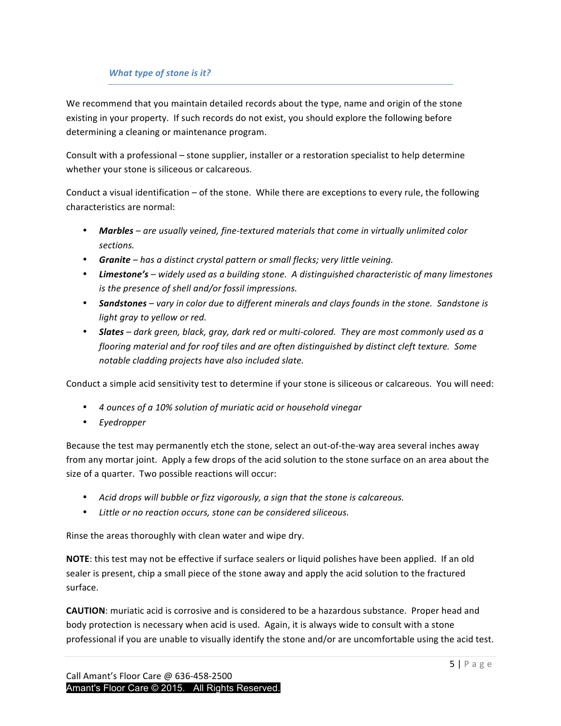## *What type of stone is it?*

We recommend that you maintain detailed records about the type, name and origin of the stone existing in your property. If such records do not exist, you should explore the following before determining a cleaning or maintenance program.

Consult with a professional – stone supplier, installer or a restoration specialist to help determine whether your stone is siliceous or calcareous.

Conduct a visual identification  $-$  of the stone. While there are exceptions to every rule, the following characteristics are normal:

- Marbles are usually veined, fine-textured materials that come in virtually unlimited color *sections.*
- **Granite** has a distinct crystal pattern or small flecks; very little veining.
- Limestone's widely used as a building stone. A distinguished characteristic of many limestones *is the presence of shell and/or fossil impressions.*
- **Sandstones** vary in color due to different minerals and clays founds in the stone. Sandstone is *light gray to yellow or red.*
- **Slates** dark green, black, gray, dark red or multi-colored. They are most commonly used as a *flooring material and for roof tiles and are often distinguished by distinct cleft texture. Some notable cladding projects have also included slate.*

Conduct a simple acid sensitivity test to determine if your stone is siliceous or calcareous. You will need:

- *4 ounces of a 10% solution of muriatic acid or household vinegar*
- *Eyedropper*

Because the test may permanently etch the stone, select an out-of-the-way area several inches away from any mortar joint. Apply a few drops of the acid solution to the stone surface on an area about the size of a quarter. Two possible reactions will occur:

- Acid drops will bubble or fizz vigorously, a sign that the stone is calcareous.
- Little or no reaction occurs, stone can be considered siliceous.

Rinse the areas thoroughly with clean water and wipe dry.

**NOTE:** this test may not be effective if surface sealers or liquid polishes have been applied. If an old sealer is present, chip a small piece of the stone away and apply the acid solution to the fractured surface.

**CAUTION:** muriatic acid is corrosive and is considered to be a hazardous substance. Proper head and body protection is necessary when acid is used. Again, it is always wide to consult with a stone professional if you are unable to visually identify the stone and/or are uncomfortable using the acid test.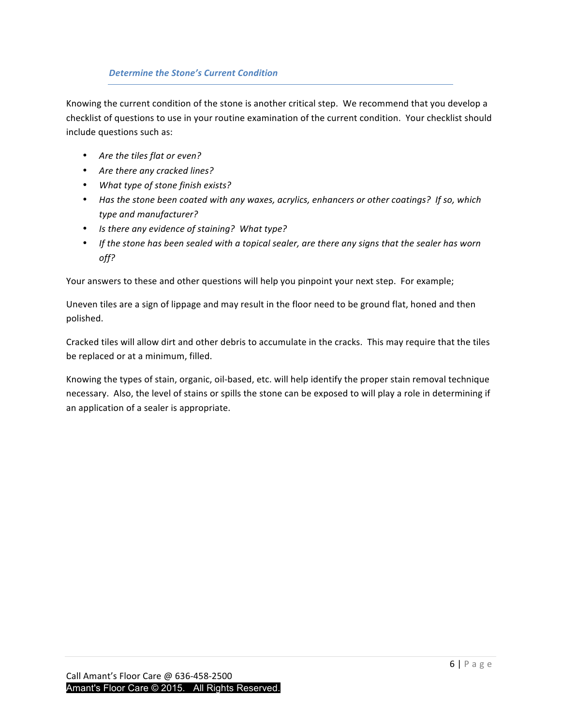## **Determine the Stone's Current Condition**

Knowing the current condition of the stone is another critical step. We recommend that you develop a checklist of questions to use in your routine examination of the current condition. Your checklist should include questions such as:

- Are the tiles flat or even?
- Are there any cracked lines?
- What type of stone finish exists?
- Has the stone been coated with any waxes, acrylics, enhancers or other coatings? If so, which *type and manufacturer?*
- Is there any evidence of staining? What type?
- If the stone has been sealed with a topical sealer, are there any signs that the sealer has worn *off?*

Your answers to these and other questions will help you pinpoint your next step. For example;

Uneven tiles are a sign of lippage and may result in the floor need to be ground flat, honed and then polished. 

Cracked tiles will allow dirt and other debris to accumulate in the cracks. This may require that the tiles be replaced or at a minimum, filled.

Knowing the types of stain, organic, oil-based, etc. will help identify the proper stain removal technique necessary. Also, the level of stains or spills the stone can be exposed to will play a role in determining if an application of a sealer is appropriate.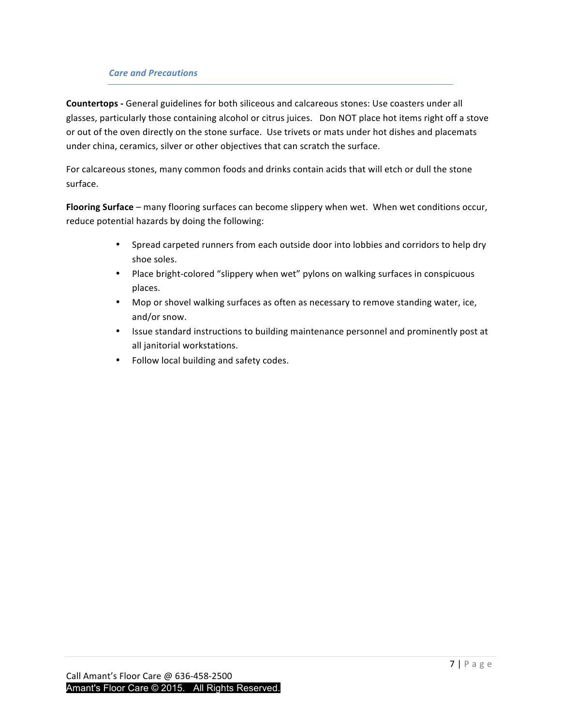## *Care and Precautions*

**Countertops** - General guidelines for both siliceous and calcareous stones: Use coasters under all glasses, particularly those containing alcohol or citrus juices. Don NOT place hot items right off a stove or out of the oven directly on the stone surface. Use trivets or mats under hot dishes and placemats under china, ceramics, silver or other objectives that can scratch the surface.

For calcareous stones, many common foods and drinks contain acids that will etch or dull the stone surface.

Flooring Surface – many flooring surfaces can become slippery when wet. When wet conditions occur, reduce potential hazards by doing the following:

- Spread carpeted runners from each outside door into lobbies and corridors to help dry shoe soles.
- Place bright-colored "slippery when wet" pylons on walking surfaces in conspicuous places.
- Mop or shovel walking surfaces as often as necessary to remove standing water, ice, and/or snow.
- Issue standard instructions to building maintenance personnel and prominently post at all janitorial workstations.
- Follow local building and safety codes.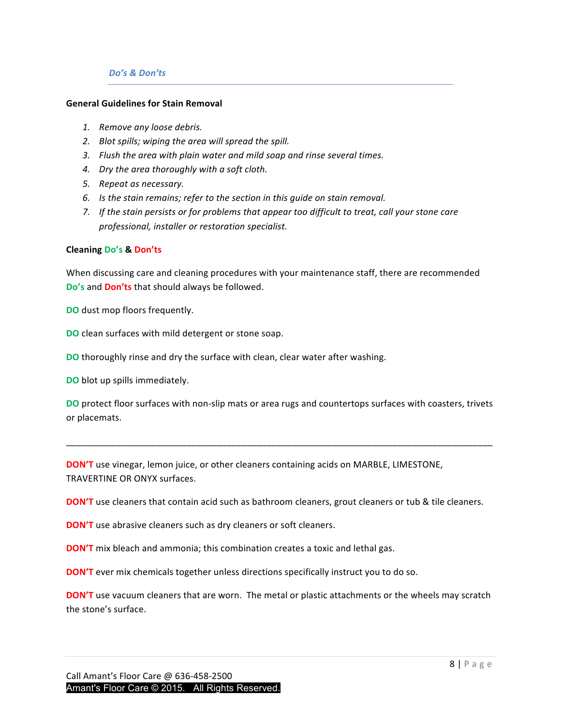#### *Do's & Don'ts*

#### **General Guidelines for Stain Removal**

- *1. Remove any loose debris.*
- 2. Blot spills; wiping the area will spread the spill.
- 3. Flush the area with plain water and mild soap and rinse several times.
- 4. Dry the area thoroughly with a soft cloth.
- *5. Repeat as necessary.*
- 6. *Is* the stain remains; refer to the section in this guide on stain removal.
- 7. If the stain persists or for problems that appear too difficult to treat, call your stone care *professional, installer or restoration specialist.*

#### **Cleaning Do's & Don'ts**

When discussing care and cleaning procedures with your maintenance staff, there are recommended **Do's** and **Don'ts** that should always be followed.

**DO** dust mop floors frequently.

**DO** clean surfaces with mild detergent or stone soap.

**DO** thoroughly rinse and dry the surface with clean, clear water after washing.

**DO** blot up spills immediately.

**DO** protect floor surfaces with non-slip mats or area rugs and countertops surfaces with coasters, trivets or placemats.

\_\_\_\_\_\_\_\_\_\_\_\_\_\_\_\_\_\_\_\_\_\_\_\_\_\_\_\_\_\_\_\_\_\_\_\_\_\_\_\_\_\_\_\_\_\_\_\_\_\_\_\_\_\_\_\_\_\_\_\_\_\_\_\_\_\_\_\_\_\_\_\_\_\_\_\_\_\_\_\_\_\_\_\_\_

**DON'T** use vinegar, lemon juice, or other cleaners containing acids on MARBLE, LIMESTONE, TRAVERTINE OR ONYX surfaces.

**DON'T** use cleaners that contain acid such as bathroom cleaners, grout cleaners or tub & tile cleaners.

**DON'T** use abrasive cleaners such as dry cleaners or soft cleaners.

**DON'T** mix bleach and ammonia; this combination creates a toxic and lethal gas.

**DON'T** ever mix chemicals together unless directions specifically instruct you to do so.

**DON'T** use vacuum cleaners that are worn. The metal or plastic attachments or the wheels may scratch the stone's surface.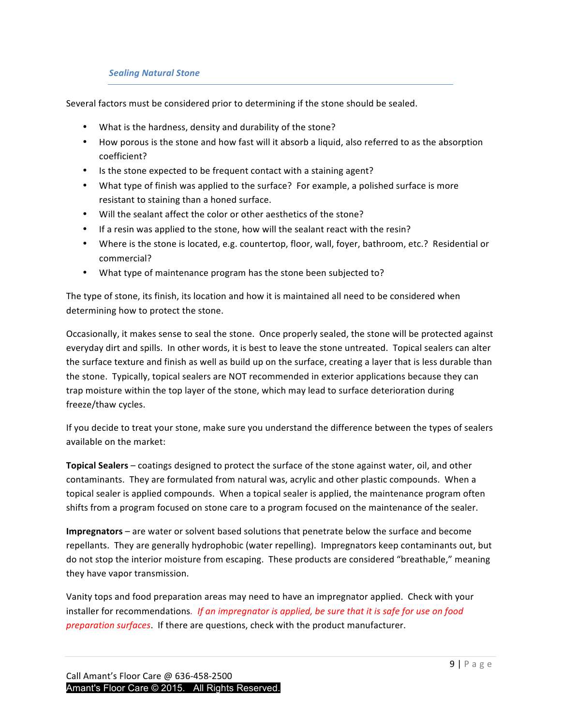## *Sealing Natural Stone*

Several factors must be considered prior to determining if the stone should be sealed.

- What is the hardness, density and durability of the stone?
- How porous is the stone and how fast will it absorb a liquid, also referred to as the absorption coefficient?
- Is the stone expected to be frequent contact with a staining agent?
- What type of finish was applied to the surface? For example, a polished surface is more resistant to staining than a honed surface.
- Will the sealant affect the color or other aesthetics of the stone?
- If a resin was applied to the stone, how will the sealant react with the resin?
- Where is the stone is located, e.g. countertop, floor, wall, foyer, bathroom, etc.? Residential or commercial?
- What type of maintenance program has the stone been subjected to?

The type of stone, its finish, its location and how it is maintained all need to be considered when determining how to protect the stone.

Occasionally, it makes sense to seal the stone. Once properly sealed, the stone will be protected against everyday dirt and spills. In other words, it is best to leave the stone untreated. Topical sealers can alter the surface texture and finish as well as build up on the surface, creating a layer that is less durable than the stone. Typically, topical sealers are NOT recommended in exterior applications because they can trap moisture within the top layer of the stone, which may lead to surface deterioration during freeze/thaw cycles. 

If you decide to treat your stone, make sure you understand the difference between the types of sealers available on the market:

**Topical Sealers** – coatings designed to protect the surface of the stone against water, oil, and other contaminants. They are formulated from natural was, acrylic and other plastic compounds. When a topical sealer is applied compounds. When a topical sealer is applied, the maintenance program often shifts from a program focused on stone care to a program focused on the maintenance of the sealer.

**Impregnators** – are water or solvent based solutions that penetrate below the surface and become repellants. They are generally hydrophobic (water repelling). Impregnators keep contaminants out, but do not stop the interior moisture from escaping. These products are considered "breathable," meaning they have vapor transmission.

Vanity tops and food preparation areas may need to have an impregnator applied. Check with your installer for recommendations. If an impregnator is applied, be sure that it is safe for use on food *preparation surfaces*. If there are questions, check with the product manufacturer.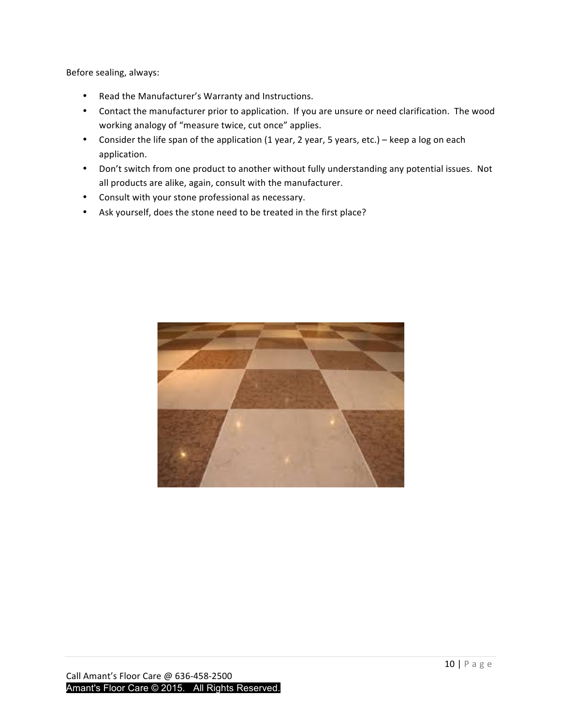Before sealing, always:

- Read the Manufacturer's Warranty and Instructions.
- Contact the manufacturer prior to application. If you are unsure or need clarification. The wood working analogy of "measure twice, cut once" applies.
- Consider the life span of the application (1 year, 2 year, 5 years, etc.) keep a log on each application.
- Don't switch from one product to another without fully understanding any potential issues. Not all products are alike, again, consult with the manufacturer.
- Consult with your stone professional as necessary.
- Ask yourself, does the stone need to be treated in the first place?

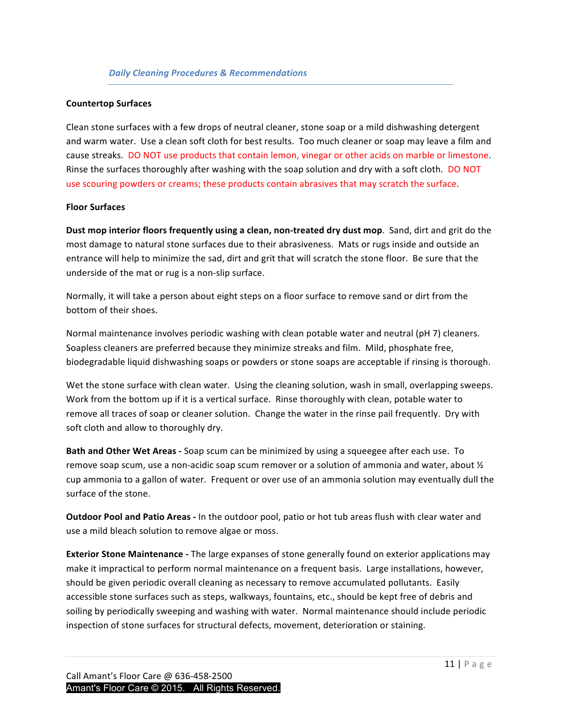#### **Countertop Surfaces**

Clean stone surfaces with a few drops of neutral cleaner, stone soap or a mild dishwashing detergent and warm water. Use a clean soft cloth for best results. Too much cleaner or soap may leave a film and cause streaks. DO NOT use products that contain lemon, vinegar or other acids on marble or limestone. Rinse the surfaces thoroughly after washing with the soap solution and dry with a soft cloth. DO NOT use scouring powders or creams; these products contain abrasives that may scratch the surface.

#### **Floor Surfaces**

**Dust mop interior floors frequently using a clean, non-treated dry dust mop**. Sand, dirt and grit do the most damage to natural stone surfaces due to their abrasiveness. Mats or rugs inside and outside an entrance will help to minimize the sad, dirt and grit that will scratch the stone floor. Be sure that the underside of the mat or rug is a non-slip surface.

Normally, it will take a person about eight steps on a floor surface to remove sand or dirt from the bottom of their shoes.

Normal maintenance involves periodic washing with clean potable water and neutral (pH 7) cleaners. Soapless cleaners are preferred because they minimize streaks and film. Mild, phosphate free, biodegradable liquid dishwashing soaps or powders or stone soaps are acceptable if rinsing is thorough.

Wet the stone surface with clean water. Using the cleaning solution, wash in small, overlapping sweeps. Work from the bottom up if it is a vertical surface. Rinse thoroughly with clean, potable water to remove all traces of soap or cleaner solution. Change the water in the rinse pail frequently. Dry with soft cloth and allow to thoroughly dry.

**Bath and Other Wet Areas** - Soap scum can be minimized by using a squeegee after each use. To remove soap scum, use a non-acidic soap scum remover or a solution of ammonia and water, about  $\frac{1}{2}$ cup ammonia to a gallon of water. Frequent or over use of an ammonia solution may eventually dull the surface of the stone.

**Outdoor Pool and Patio Areas** - In the outdoor pool, patio or hot tub areas flush with clear water and use a mild bleach solution to remove algae or moss.

**Exterior Stone Maintenance** - The large expanses of stone generally found on exterior applications may make it impractical to perform normal maintenance on a frequent basis. Large installations, however, should be given periodic overall cleaning as necessary to remove accumulated pollutants. Easily accessible stone surfaces such as steps, walkways, fountains, etc., should be kept free of debris and soiling by periodically sweeping and washing with water. Normal maintenance should include periodic inspection of stone surfaces for structural defects, movement, deterioration or staining.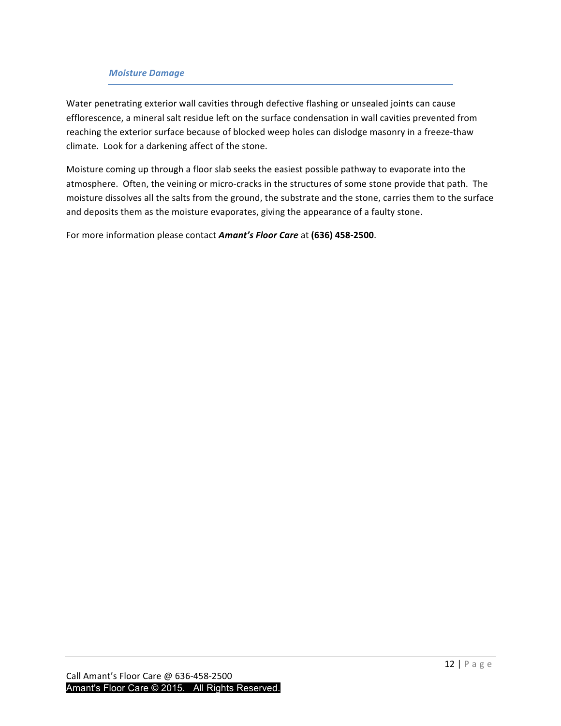## *Moisture Damage*

Water penetrating exterior wall cavities through defective flashing or unsealed joints can cause efflorescence, a mineral salt residue left on the surface condensation in wall cavities prevented from reaching the exterior surface because of blocked weep holes can dislodge masonry in a freeze-thaw climate. Look for a darkening affect of the stone.

Moisture coming up through a floor slab seeks the easiest possible pathway to evaporate into the atmosphere. Often, the veining or micro-cracks in the structures of some stone provide that path. The moisture dissolves all the salts from the ground, the substrate and the stone, carries them to the surface and deposits them as the moisture evaporates, giving the appearance of a faulty stone.

For more information please contact **Amant's Floor Care** at (636) 458-2500.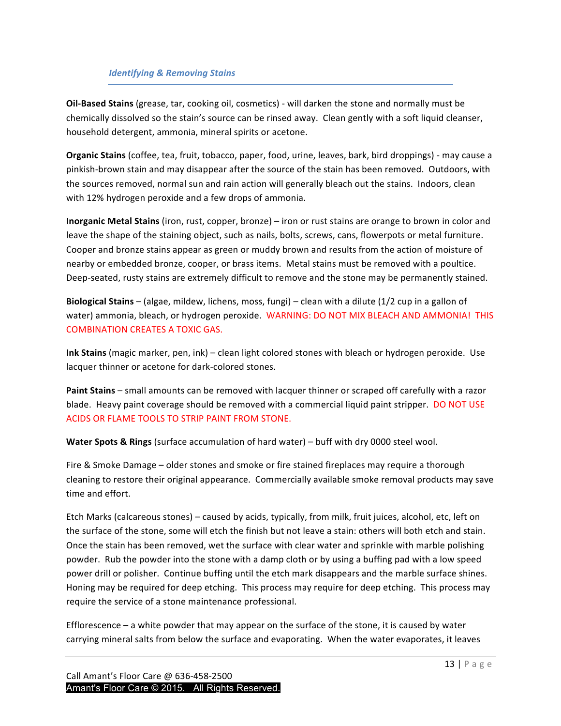## **Identifying & Removing Stains**

**Oil-Based Stains** (grease, tar, cooking oil, cosmetics) - will darken the stone and normally must be chemically dissolved so the stain's source can be rinsed away. Clean gently with a soft liquid cleanser, household detergent, ammonia, mineral spirits or acetone.

**Organic Stains** (coffee, tea, fruit, tobacco, paper, food, urine, leaves, bark, bird droppings) - may cause a pinkish-brown stain and may disappear after the source of the stain has been removed. Outdoors, with the sources removed, normal sun and rain action will generally bleach out the stains. Indoors, clean with 12% hydrogen peroxide and a few drops of ammonia.

**Inorganic Metal Stains** (iron, rust, copper, bronze) – iron or rust stains are orange to brown in color and leave the shape of the staining object, such as nails, bolts, screws, cans, flowerpots or metal furniture. Cooper and bronze stains appear as green or muddy brown and results from the action of moisture of nearby or embedded bronze, cooper, or brass items. Metal stains must be removed with a poultice. Deep-seated, rusty stains are extremely difficult to remove and the stone may be permanently stained.

**Biological Stains** – (algae, mildew, lichens, moss, fungi) – clean with a dilute (1/2 cup in a gallon of water) ammonia, bleach, or hydrogen peroxide. WARNING: DO NOT MIX BLEACH AND AMMONIA! THIS COMBINATION CREATES A TOXIC GAS.

**Ink Stains** (magic marker, pen, ink) – clean light colored stones with bleach or hydrogen peroxide. Use lacquer thinner or acetone for dark-colored stones.

**Paint Stains** – small amounts can be removed with lacquer thinner or scraped off carefully with a razor blade. Heavy paint coverage should be removed with a commercial liquid paint stripper. DO NOT USE ACIDS OR FLAME TOOLS TO STRIP PAINT FROM STONE.

**Water Spots & Rings** (surface accumulation of hard water) – buff with dry 0000 steel wool.

Fire & Smoke Damage – older stones and smoke or fire stained fireplaces may require a thorough cleaning to restore their original appearance. Commercially available smoke removal products may save time and effort.

Etch Marks (calcareous stones) – caused by acids, typically, from milk, fruit juices, alcohol, etc, left on the surface of the stone, some will etch the finish but not leave a stain: others will both etch and stain. Once the stain has been removed, wet the surface with clear water and sprinkle with marble polishing powder. Rub the powder into the stone with a damp cloth or by using a buffing pad with a low speed power drill or polisher. Continue buffing until the etch mark disappears and the marble surface shines. Honing may be required for deep etching. This process may require for deep etching. This process may require the service of a stone maintenance professional.

Efflorescence  $-$  a white powder that may appear on the surface of the stone, it is caused by water carrying mineral salts from below the surface and evaporating. When the water evaporates, it leaves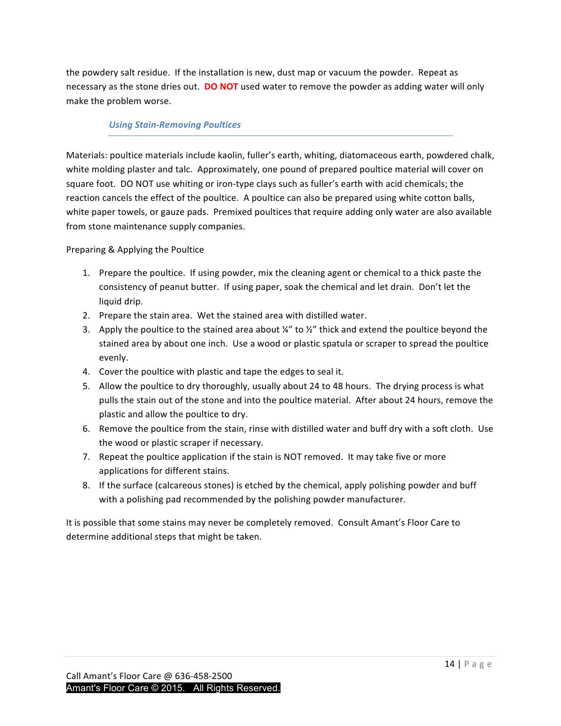the powdery salt residue. If the installation is new, dust map or vacuum the powder. Repeat as necessary as the stone dries out. **DO NOT** used water to remove the powder as adding water will only make the problem worse.

## *Using Stain-Removing Poultices*

Materials: poultice materials include kaolin, fuller's earth, whiting, diatomaceous earth, powdered chalk, white molding plaster and talc. Approximately, one pound of prepared poultice material will cover on square foot. DO NOT use whiting or iron-type clays such as fuller's earth with acid chemicals; the reaction cancels the effect of the poultice. A poultice can also be prepared using white cotton balls, white paper towels, or gauze pads. Premixed poultices that require adding only water are also available from stone maintenance supply companies.

## Preparing & Applying the Poultice

- 1. Prepare the poultice. If using powder, mix the cleaning agent or chemical to a thick paste the consistency of peanut butter. If using paper, soak the chemical and let drain. Don't let the liquid drip.
- 2. Prepare the stain area. Wet the stained area with distilled water.
- 3. Apply the poultice to the stained area about  $\frac{y''}{x}$  to  $\frac{y''}{x}$  thick and extend the poultice beyond the stained area by about one inch. Use a wood or plastic spatula or scraper to spread the poultice evenly.
- 4. Cover the poultice with plastic and tape the edges to seal it.
- 5. Allow the poultice to dry thoroughly, usually about 24 to 48 hours. The drying process is what pulls the stain out of the stone and into the poultice material. After about 24 hours, remove the plastic and allow the poultice to dry.
- 6. Remove the poultice from the stain, rinse with distilled water and buff dry with a soft cloth. Use the wood or plastic scraper if necessary.
- 7. Repeat the poultice application if the stain is NOT removed. It may take five or more applications for different stains.
- 8. If the surface (calcareous stones) is etched by the chemical, apply polishing powder and buff with a polishing pad recommended by the polishing powder manufacturer.

It is possible that some stains may never be completely removed. Consult Amant's Floor Care to determine additional steps that might be taken.